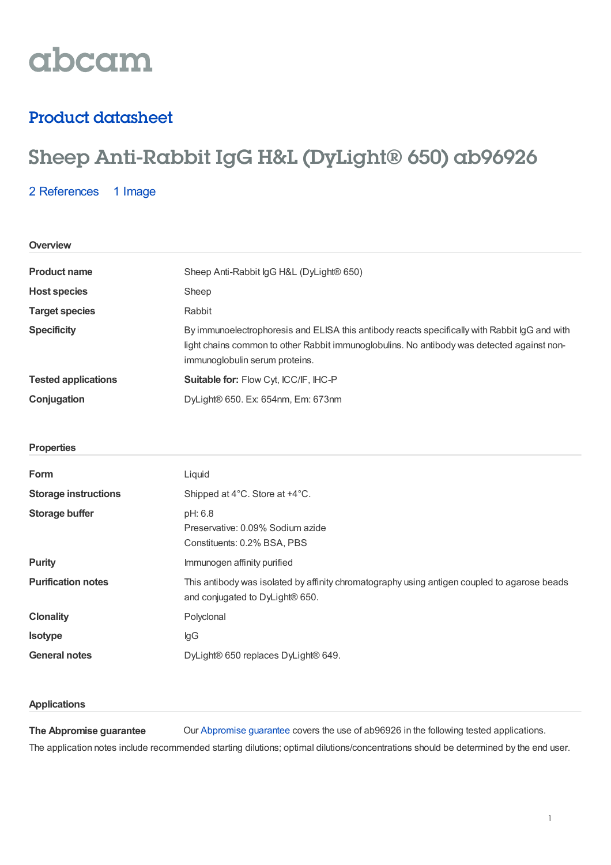

# Product datasheet

# Sheep Anti-Rabbit IgG H&L (DyLight® 650) ab96926

2 [References](https://www.abcam.com/sheep-rabbit-igg-hl-dylight-650-ab96926.html#description_references) 1 Image

| Overview                    |                                                                                                                                                                                                                               |  |  |
|-----------------------------|-------------------------------------------------------------------------------------------------------------------------------------------------------------------------------------------------------------------------------|--|--|
| <b>Product name</b>         | Sheep Anti-Rabbit IgG H&L (DyLight® 650)                                                                                                                                                                                      |  |  |
| <b>Host species</b>         | Sheep                                                                                                                                                                                                                         |  |  |
| <b>Target species</b>       | Rabbit                                                                                                                                                                                                                        |  |  |
| <b>Specificity</b>          | By immunoelectrophoresis and ELISA this antibody reacts specifically with Rabbit IgG and with<br>light chains common to other Rabbit immunoglobulins. No antibody was detected against non-<br>immunoglobulin serum proteins. |  |  |
| <b>Tested applications</b>  | Suitable for: Flow Cyt, ICC/IF, IHC-P                                                                                                                                                                                         |  |  |
| Conjugation                 | DyLight® 650. Ex: 654nm, Em: 673nm                                                                                                                                                                                            |  |  |
|                             |                                                                                                                                                                                                                               |  |  |
| <b>Properties</b>           |                                                                                                                                                                                                                               |  |  |
| Form                        | Liquid                                                                                                                                                                                                                        |  |  |
| <b>Storage instructions</b> | Shipped at 4°C. Store at +4°C.                                                                                                                                                                                                |  |  |
| <b>Storage buffer</b>       | pH: 6.8<br>Preservative: 0.09% Sodium azide<br>Constituents: 0.2% BSA, PBS                                                                                                                                                    |  |  |
| <b>Purity</b>               | Immunogen affinity purified                                                                                                                                                                                                   |  |  |
| <b>Purification notes</b>   | This antibody was isolated by affinity chromatography using antigen coupled to agarose beads<br>and conjugated to DyLight® 650.                                                                                               |  |  |
| <b>Clonality</b>            | Polyclonal                                                                                                                                                                                                                    |  |  |
| <b>Isotype</b>              | lgG                                                                                                                                                                                                                           |  |  |
| <b>General notes</b>        | DyLight® 650 replaces DyLight® 649.                                                                                                                                                                                           |  |  |
|                             |                                                                                                                                                                                                                               |  |  |

## **Applications**

**The Abpromise guarantee** Our [Abpromise](https://www.abcam.com/abpromise) guarantee covers the use of ab96926 in the following tested applications. The application notes include recommended starting dilutions; optimal dilutions/concentrations should be determined by the end user.